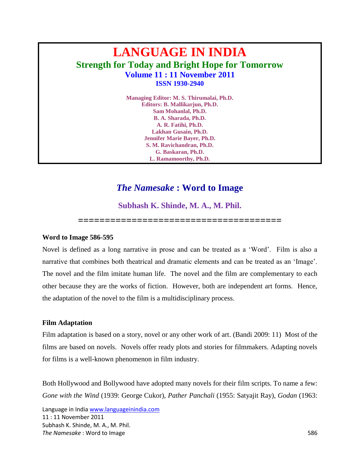# **LANGUAGE IN INDIA Strength for Today and Bright Hope for Tomorrow Volume 11 : 11 November 2011 ISSN 1930-2940**

**Managing Editor: M. S. Thirumalai, Ph.D. Editors: B. Mallikarjun, Ph.D. Sam Mohanlal, Ph.D. B. A. Sharada, Ph.D. A. R. Fatihi, Ph.D. Lakhan Gusain, Ph.D. Jennifer Marie Bayer, Ph.D. S. M. Ravichandran, Ph.D. G. Baskaran, Ph.D. L. Ramamoorthy, Ph.D.**

# *The Namesake* **: Word to Image**

**Subhash K. Shinde, M. A., M. Phil.**

**======================================**

## **Word to Image 586-595**

Novel is defined as a long narrative in prose and can be treated as a "Word". Film is also a narrative that combines both theatrical and dramatic elements and can be treated as an "Image". The novel and the film imitate human life. The novel and the film are complementary to each other because they are the works of fiction. However, both are independent art forms. Hence, the adaptation of the novel to the film is a multidisciplinary process.

## **Film Adaptation**

Film adaptation is based on a story, novel or any other work of art. (Bandi 2009: 11) Most of the films are based on novels. Novels offer ready plots and stories for filmmakers. Adapting novels for films is a well-known phenomenon in film industry.

Both Hollywood and Bollywood have adopted many novels for their film scripts. To name a few: *Gone with the Wind* (1939: George Cukor), *Pather Panchali* (1955: Satyajit Ray), *Godan* (1963:

Language in Indi[a www.languageinindia.com](http://www.languageinindia.com/) 11 : 11 November 2011 Subhash K. Shinde, M. A., M. Phil. **The Namesake** : Word to Image 586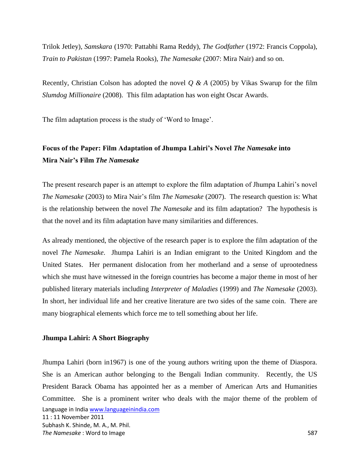Trilok Jetley), *Samskara* (1970: Pattabhi Rama Reddy), *The Godfather* (1972: Francis Coppola), *Train to Pakistan* (1997: Pamela Rooks), *The Namesake* (2007: Mira Nair) and so on.

Recently, Christian Colson has adopted the novel *Q & A* (2005) by Vikas Swarup for the film *Slumdog Millionaire* (2008). This film adaptation has won eight Oscar Awards.

The film adaptation process is the study of 'Word to Image'.

# **Focus of the Paper: Film Adaptation of Jhumpa Lahiri's Novel** *The Namesake* **into Mira Nair's Film** *The Namesake*

The present research paper is an attempt to explore the film adaptation of Jhumpa Lahiri's novel *The Namesake* (2003) to Mira Nair"s film *The Namesake* (2007). The research question is: What is the relationship between the novel *The Namesake* and its film adaptation? The hypothesis is that the novel and its film adaptation have many similarities and differences.

As already mentioned, the objective of the research paper is to explore the film adaptation of the novel *The Namesake*. Jhumpa Lahiri is an Indian emigrant to the United Kingdom and the United States. Her permanent dislocation from her motherland and a sense of uprootedness which she must have witnessed in the foreign countries has become a major theme in most of her published literary materials including *Interpreter of Maladies* (1999) and *The Namesake* (2003). In short, her individual life and her creative literature are two sides of the same coin. There are many biographical elements which force me to tell something about her life.

## **Jhumpa Lahiri: A Short Biography**

Language in Indi[a www.languageinindia.com](http://www.languageinindia.com/) 11 : 11 November 2011 Subhash K. Shinde, M. A., M. Phil. **The Namesake** : Word to Image 587 Jhumpa Lahiri (born in1967) is one of the young authors writing upon the theme of Diaspora. She is an American author belonging to the Bengali Indian community. Recently, the US President Barack Obama has appointed her as a member of American Arts and Humanities Committee. She is a prominent writer who deals with the major theme of the problem of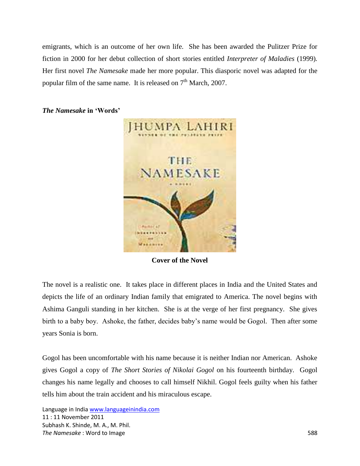emigrants, which is an outcome of her own life. She has been awarded the Pulitzer Prize for fiction in 2000 for her debut collection of short stories entitled *Interpreter of Maladies* (1999)*.*  Her first novel *The Namesake* made her more popular. This diasporic novel was adapted for the popular film of the same name. It is released on  $7<sup>th</sup>$  March, 2007.



*The Namesake* **in 'Words'**

**Cover of the Novel**

The novel is a realistic one. It takes place in different places in India and the United States and depicts the life of an ordinary Indian family that emigrated to America. The novel begins with Ashima Ganguli standing in her kitchen. She is at the verge of her first pregnancy. She gives birth to a baby boy. Ashoke, the father, decides baby"s name would be Gogol. Then after some years Sonia is born.

Gogol has been uncomfortable with his name because it is neither Indian nor American. Ashoke gives Gogol a copy of *The Short Stories of Nikolai Gogol* on his fourteenth birthday. Gogol changes his name legally and chooses to call himself Nikhil. Gogol feels guilty when his father tells him about the train accident and his miraculous escape.

Language in Indi[a www.languageinindia.com](http://www.languageinindia.com/) 11 : 11 November 2011 Subhash K. Shinde, M. A., M. Phil. **The Namesake** : Word to Image 588 **588**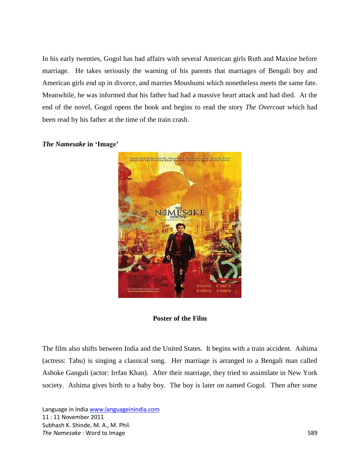In his early twenties, Gogol has had affairs with several American girls Ruth and Maxine before marriage. He takes seriously the warning of his parents that marriages of Bengali boy and American girls end up in divorce, and marries Moushumi which nonetheless meets the same fate. Meanwhile, he was informed that his father had had a massive heart attack and had died. At the end of the novel, Gogol opens the book and begins to read the story *The Overcoat* which had been read by his father at the time of the train crash.



#### *The Namesake* **in 'Image'**

# **Poster of the Film**

The film also shifts between India and the United States. It begins with a train accident. Ashima (actress: Tabu) is singing a classical song. Her marriage is arranged to a Bengali man called Ashoke Ganguli (actor: Irrfan Khan). After their marriage, they tried to assimilate in New York society. Ashima gives birth to a baby boy. The boy is later on named Gogol. Then after some

Language in Indi[a www.languageinindia.com](http://www.languageinindia.com/) 11 : 11 November 2011 Subhash K. Shinde, M. A., M. Phil. **The Namesake** : Word to Image 589 and the Namesake of the Namesake 589 and the Namesake 589 and the SSS 589 and the Namesake 589 and the SSS 589 and the Namesake SSSS 589 and the Namesake SSSS 589 and the Namesake SSSS 58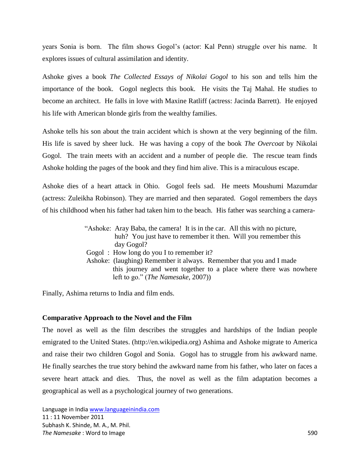years Sonia is born. The film shows Gogol"s (actor: Kal Penn) struggle over his name. It explores issues of cultural assimilation and identity.

Ashoke gives a book *The Collected Essays of Nikolai Gogol* to his son and tells him the importance of the book. Gogol neglects this book. He visits the Taj Mahal. He studies to become an architect. He falls in love with Maxine Ratliff (actress: Jacinda Barrett). He enjoyed his life with American blonde girls from the wealthy families.

Ashoke tells his son about the train accident which is shown at the very beginning of the film. His life is saved by sheer luck. He was having a copy of the book *The Overcoat* by Nikolai Gogol. The train meets with an accident and a number of people die. The rescue team finds Ashoke holding the pages of the book and they find him alive. This is a miraculous escape.

Ashoke dies of a heart attack in Ohio. Gogol feels sad. He meets Moushumi Mazumdar (actress: Zuleikha Robinson). They are married and then separated. Gogol remembers the days of his childhood when his father had taken him to the beach. His father was searching a camera-

> "Ashoke: Aray Baba, the camera! It is in the car. All this with no picture, huh? You just have to remember it then. Will you remember this day Gogol? Gogol : How long do you I to remember it? Ashoke: (laughing) Remember it always. Remember that you and I made this journey and went together to a place where there was nowhere left to go." (*The Namesake*, 2007))

Finally, Ashima returns to India and film ends.

## **Comparative Approach to the Novel and the Film**

The novel as well as the film describes the struggles and hardships of the Indian people emigrated to the United States. (http://en.wikipedia.org) Ashima and Ashoke migrate to America and raise their two children Gogol and Sonia. Gogol has to struggle from his awkward name. He finally searches the true story behind the awkward name from his father, who later on faces a severe heart attack and dies. Thus, the novel as well as the film adaptation becomes a geographical as well as a psychological journey of two generations.

Language in Indi[a www.languageinindia.com](http://www.languageinindia.com/) 11 : 11 November 2011 Subhash K. Shinde, M. A., M. Phil. **The Namesake** : Word to Image 590 and the Namesake 590 state 590 state 590 state 590 state 590 state 590 state 590 state 590 state 590 state 590 state 590 state 590 state 590 state 590 state 590 state 590 state 590 state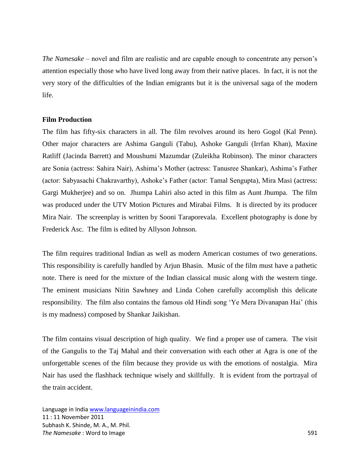*The Namesake* – novel and film are realistic and are capable enough to concentrate any person's attention especially those who have lived long away from their native places. In fact, it is not the very story of the difficulties of the Indian emigrants but it is the universal saga of the modern life.

#### **Film Production**

The film has fifty-six characters in all. The film revolves around its hero Gogol (Kal Penn). Other major characters are Ashima Ganguli (Tabu), Ashoke Ganguli (Irrfan Khan), Maxine Ratliff (Jacinda Barrett) and Moushumi Mazumdar (Zuleikha Robinson). The minor characters are Sonia (actress: Sahira Nair), Ashima"s Mother (actress: Tanusree Shankar), Ashima"s Father (actor: Sabyasachi Chakravarthy), Ashoke"s Father (actor: Tamal Sengupta), Mira Masi (actress: Gargi Mukherjee) and so on. Jhumpa Lahiri also acted in this film as Aunt Jhumpa. The film was produced under the UTV Motion Pictures and Mirabai Films. It is directed by its producer Mira Nair. The screenplay is written by Sooni Taraporevala. Excellent photography is done by Frederick Asc. The film is edited by Allyson Johnson.

The film requires traditional Indian as well as modern American costumes of two generations. This responsibility is carefully handled by Arjun Bhasin. Music of the film must have a pathetic note. There is need for the mixture of the Indian classical music along with the western tinge. The eminent musicians Nitin Sawhney and Linda Cohen carefully accomplish this delicate responsibility. The film also contains the famous old Hindi song "Ye Mera Divanapan Hai" (this is my madness) composed by Shankar Jaikishan.

The film contains visual description of high quality. We find a proper use of camera. The visit of the Gangulis to the Taj Mahal and their conversation with each other at Agra is one of the unforgettable scenes of the film because they provide us with the emotions of nostalgia. Mira Nair has used the flashback technique wisely and skillfully. It is evident from the portrayal of the train accident.

Language in Indi[a www.languageinindia.com](http://www.languageinindia.com/) 11 : 11 November 2011 Subhash K. Shinde, M. A., M. Phil. **The Namesake** : Word to Image 591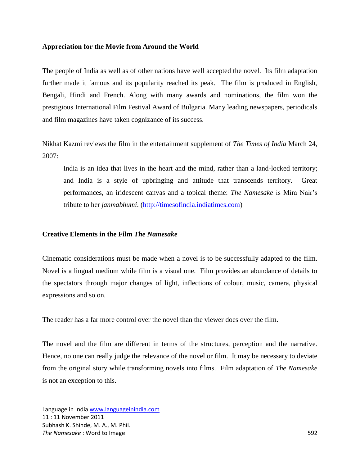#### **Appreciation for the Movie from Around the World**

The people of India as well as of other nations have well accepted the novel. Its film adaptation further made it famous and its popularity reached its peak. The film is produced in English, Bengali, Hindi and French. Along with many awards and nominations, the film won the prestigious International Film Festival Award of Bulgaria. Many leading newspapers, periodicals and film magazines have taken cognizance of its success.

Nikhat Kazmi reviews the film in the entertainment supplement of *The Times of India* March 24, 2007:

India is an idea that lives in the heart and the mind, rather than a land-locked territory; and India is a style of upbringing and attitude that transcends territory. Great performances, an iridescent canvas and a topical theme: *The Namesake* is Mira Nair"s tribute to her *janmabhumi*. [\(http://timesofindia.indiatimes.com\)](http://timesofindia.indiatimes.com/)

## **Creative Elements in the Film** *The Namesake*

Cinematic considerations must be made when a novel is to be successfully adapted to the film. Novel is a lingual medium while film is a visual one. Film provides an abundance of details to the spectators through major changes of light, inflections of colour, music, camera, physical expressions and so on.

The reader has a far more control over the novel than the viewer does over the film.

The novel and the film are different in terms of the structures, perception and the narrative. Hence, no one can really judge the relevance of the novel or film. It may be necessary to deviate from the original story while transforming novels into films. Film adaptation of *The Namesake* is not an exception to this.

Language in Indi[a www.languageinindia.com](http://www.languageinindia.com/) 11 : 11 November 2011 Subhash K. Shinde, M. A., M. Phil. **The Namesake** : Word to Image 592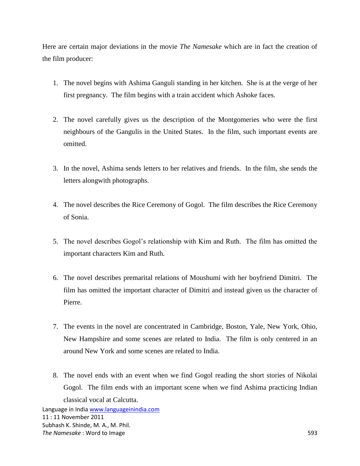Here are certain major deviations in the movie *The Namesake* which are in fact the creation of the film producer:

- 1. The novel begins with Ashima Ganguli standing in her kitchen. She is at the verge of her first pregnancy. The film begins with a train accident which Ashoke faces.
- 2. The novel carefully gives us the description of the Montgomeries who were the first neighbours of the Gangulis in the United States. In the film, such important events are omitted.
- 3. In the novel, Ashima sends letters to her relatives and friends. In the film, she sends the letters alongwith photographs.
- 4. The novel describes the Rice Ceremony of Gogol. The film describes the Rice Ceremony of Sonia.
- 5. The novel describes Gogol"s relationship with Kim and Ruth. The film has omitted the important characters Kim and Ruth.
- 6. The novel describes premarital relations of Moushumi with her boyfriend Dimitri. The film has omitted the important character of Dimitri and instead given us the character of Pierre.
- 7. The events in the novel are concentrated in Cambridge, Boston, Yale, New York, Ohio, New Hampshire and some scenes are related to India. The film is only centered in an around New York and some scenes are related to India.
- 8. The novel ends with an event when we find Gogol reading the short stories of Nikolai Gogol. The film ends with an important scene when we find Ashima practicing Indian classical vocal at Calcutta.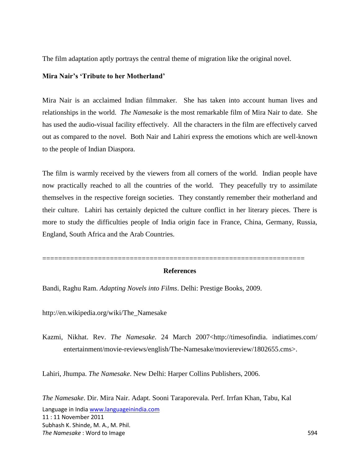The film adaptation aptly portrays the central theme of migration like the original novel.

# **Mira Nair's 'Tribute to her Motherland'**

Mira Nair is an acclaimed Indian filmmaker. She has taken into account human lives and relationships in the world. *The Namesake* is the most remarkable film of Mira Nair to date. She has used the audio-visual facility effectively. All the characters in the film are effectively carved out as compared to the novel. Both Nair and Lahiri express the emotions which are well-known to the people of Indian Diaspora.

The film is warmly received by the viewers from all corners of the world. Indian people have now practically reached to all the countries of the world. They peacefully try to assimilate themselves in the respective foreign societies. They constantly remember their motherland and their culture. Lahiri has certainly depicted the culture conflict in her literary pieces. There is more to study the difficulties people of India origin face in France, China, Germany, Russia, England, South Africa and the Arab Countries.

## **References**

==================================================================

Bandi, Raghu Ram. *Adapting Novels into Films*. Delhi: Prestige Books, 2009.

http://en.wikipedia.org/wiki/The\_Namesake

Kazmi, Nikhat. Rev. *The Namesake*. 24 March 2007<http://timesofindia. indiatimes.com/ entertainment/movie-reviews/english/The-Namesake/moviereview/1802655.cms>.

Lahiri, Jhumpa. *The Namesake*. New Delhi: Harper Collins Publishers, 2006.

Language in Indi[a www.languageinindia.com](http://www.languageinindia.com/) 11 : 11 November 2011 Subhash K. Shinde, M. A., M. Phil. **The Namesake** : Word to Image 594 *The Namesake*. Dir. Mira Nair. Adapt. Sooni Taraporevala. Perf. Irrfan Khan, Tabu, Kal